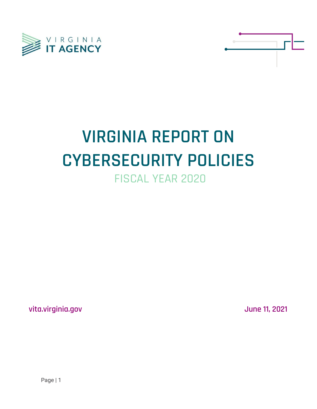



# **VIRGINIA REPORT ON CYBERSECURITY POLICIES** FISCAL YEAR 2020

**vita.virginia.gov June 11, 2021**

Page | 1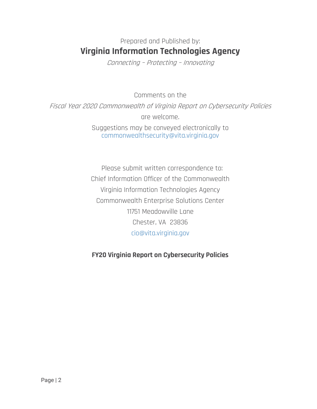# Prepared and Published by: **Virginia Information Technologies Agency**

Connecting – Protecting – Innovating

Comments on the Fiscal Year 2020 Commonwealth of Virginia Report on Cybersecurity Policies are welcome.

> Suggestions may be conveyed electronically to [commonwealthsecurity@vita.virginia.gov](mailto:commonwealthsecurity@vita.virginia.gov)

> Please submit written correspondence to: Chief Information Officer of the Commonwealth Virginia Information Technologies Agency Commonwealth Enterprise Solutions Center 11751 Meadowville Lane Chester, VA 23836 [cio@vita.virginia.gov](mailto:cio@vita.virginia.gov)

# **FY20 Virginia Report on Cybersecurity Policies**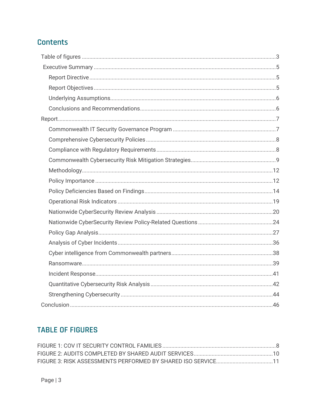# **Contents**

# <span id="page-2-0"></span>**TABLE OF FIGURES**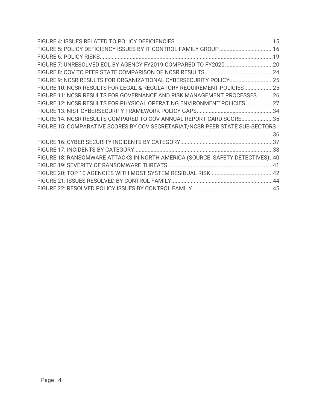| FIGURE 5: POLICY DEFICIENCY ISSUES BY IT CONTROL FAMILY GROUP16              |  |
|------------------------------------------------------------------------------|--|
|                                                                              |  |
|                                                                              |  |
|                                                                              |  |
|                                                                              |  |
| FIGURE 10: NCSR RESULTS FOR LEGAL & REGULATORY REQUIREMENT POLICIES25        |  |
| FIGURE 11: NCSR RESULTS FOR GOVERNANCE AND RISK MANAGEMENT PROCESSES 26      |  |
| FIGURE 12: NCSR RESULTS FOR PHYSICAL OPERATING ENVIRONMENT POLICIES 27       |  |
|                                                                              |  |
| FIGURE 14: NCSR RESULTS COMPARED TO COV ANNUAL REPORT CARD SCORE35           |  |
| FIGURE 15: COMPARATIVE SCORES BY COV SECRETARIAT/NCSR PEER STATE SUB-SECTORS |  |
|                                                                              |  |
|                                                                              |  |
|                                                                              |  |
| FIGURE 18: RANSOMWARE ATTACKS IN NORTH AMERICA (SOURCE: SAFETY DETECTIVES)40 |  |
|                                                                              |  |
|                                                                              |  |
|                                                                              |  |
|                                                                              |  |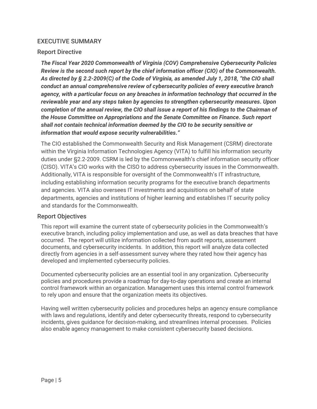#### <span id="page-4-0"></span>EXECUTIVE SUMMARY

#### <span id="page-4-1"></span>Report Directive

*The Fiscal Year 2020 Commonwealth of Virginia (COV) Comprehensive Cybersecurity Policies Review is the second such report by the chief information officer (CIO) of the Commonwealth. As directed by § 2.2-2009(C) of the Code of Virginia, as amended July 1, 2018, "the CIO shall conduct an annual comprehensive review of cybersecurity policies of every executive branch agency, with a particular focus on any breaches in information technology that occurred in the reviewable year and any steps taken by agencies to strengthen cybersecurity measures. Upon completion of the annual review, the CIO shall issue a report of his findings to the Chairman of the House Committee on Appropriations and the Senate Committee on Finance. Such report shall not contain technical information deemed by the CIO to be security sensitive or information that would expose security vulnerabilities."*

The CIO established the Commonwealth Security and Risk Management (CSRM) directorate within the Virginia Information Technologies Agency (VITA) to fulfill his information security duties under §2.2-2009. CSRM is led by the Commonwealth's chief information security officer (CISO). VITA's CIO works with the CISO to address cybersecurity issues in the Commonwealth. Additionally, VITA is responsible for oversight of the Commonwealth's IT infrastructure, including establishing information security programs for the executive branch departments and agencies. VITA also oversees IT investments and acquisitions on behalf of state departments, agencies and institutions of higher learning and establishes IT security policy and standards for the Commonwealth.

#### <span id="page-4-2"></span>Report Objectives

This report will examine the current state of cybersecurity policies in the Commonwealth's executive branch, including policy implementation and use, as well as data breaches that have occurred. The report will utilize information collected from audit reports, assessment documents, and cybersecurity incidents. In addition, this report will analyze data collected directly from agencies in a self-assessment survey where they rated how their agency has developed and implemented cybersecurity policies.

Documented cybersecurity policies are an essential tool in any organization. Cybersecurity policies and procedures provide a roadmap for day-to-day operations and create an internal control framework within an organization. Management uses this internal control framework to rely upon and ensure that the organization meets its objectives.

Having well written cybersecurity policies and procedures helps an agency ensure compliance with laws and regulations, identify and deter cybersecurity threats, respond to cybersecurity incidents, gives guidance for decision-making, and streamlines internal processes. Policies also enable agency management to make consistent cybersecurity based decisions.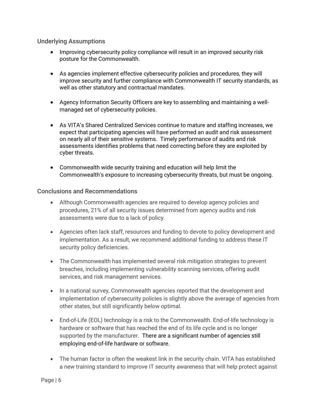#### <span id="page-5-0"></span>Underlying Assumptions

- Improving cybersecurity policy compliance will result in an improved security risk posture for the Commonwealth.
- As agencies implement effective cybersecurity policies and procedures, they will improve security and further compliance with Commonwealth IT security standards, as well as other statutory and contractual mandates.
- Agency Information Security Officers are key to assembling and maintaining a wellmanaged set of cybersecurity policies.
- As VITA's Shared Centralized Services continue to mature and staffing increases, we expect that participating agencies will have performed an audit and risk assessment on nearly all of their sensitive systems. Timely performance of audits and risk assessments identifies problems that need correcting before they are exploited by cyber threats.
- Commonwealth wide security training and education will help limit the Commonwealth's exposure to increasing cybersecurity threats, but must be ongoing.

#### <span id="page-5-1"></span>Conclusions and Recommendations

- Although Commonwealth agencies are required to develop agency policies and procedures, 21% of all security issues determined from agency audits and risk assessments were due to a lack of policy.
- Agencies often lack staff, resources and funding to devote to policy development and implementation. As a result, we recommend additional funding to address these IT security policy deficiencies.
- The Commonwealth has implemented several risk mitigation strategies to prevent breaches, including implementing vulnerability scanning services, offering audit services, and risk management services.
- In a national survey, Commonwealth agencies reported that the development and implementation of cybersecurity policies is slightly above the average of agencies from other states, but still significantly below optimal.
- End-of-Life (EOL) technology is a risk to the Commonwealth. End-of-life technology is hardware or software that has reached the end of its life cycle and is no longer supported by the manufacturer. There are a significant number of agencies still employing end-of-life hardware or software.
- The human factor is often the weakest link in the security chain. VITA has established a new training standard to improve IT security awareness that will help protect against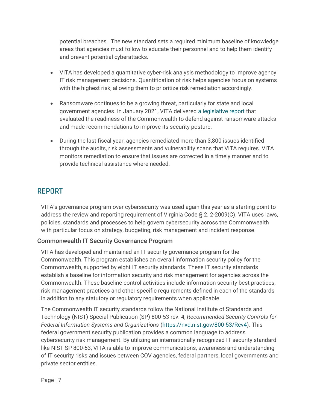potential breaches. The new standard sets a required minimum baseline of knowledge areas that agencies must follow to educate their personnel and to help them identify and prevent potential cyberattacks.

- VITA has developed a quantitative cyber-risk analysis methodology to improve agency IT risk management decisions. Quantification of risk helps agencies focus on systems with the highest risk, allowing them to prioritize risk remediation accordingly.
- Ransomware continues to be a growing threat, particularly for state and local government agencies. In January 2021, VITA delivered [a legislative report](https://rga.lis.virginia.gov/Published/2021/HD4/PDF) that evaluated the readiness of the Commonwealth to defend against ransomware attacks and made recommendations to improve its security posture.
- During the last fiscal year, agencies remediated more than 3,800 issues identified through the audits, risk assessments and vulnerability scans that VITA requires. VITA monitors remediation to ensure that issues are corrected in a timely manner and to provide technical assistance where needed.

# <span id="page-6-0"></span>**REPORT**

VITA's governance program over cybersecurity was used again this year as a starting point to address the review and reporting requirement of Virginia Code § 2. 2-2009(C). VITA uses laws, policies, standards and processes to help govern cybersecurity across the Commonwealth with particular focus on strategy, budgeting, risk management and incident response.

## <span id="page-6-1"></span>Commonwealth IT Security Governance Program

VITA has developed and maintained an IT security governance program for the Commonwealth. This program establishes an overall information security policy for the Commonwealth, supported by eight IT security standards. These IT security standards establish a baseline for information security and risk management for agencies across the Commonwealth. These baseline control activities include information security best practices, risk management practices and other specific requirements defined in each of the standards in addition to any statutory or regulatory requirements when applicable.

The Commonwealth IT security standards follow the National Institute of Standards and Technology (NIST) Special Publication (SP) 800-53 rev. 4, *Recommended Security Controls for Federal Information Systems and Organizations* [\(https://nvd.nist.gov/800-53/Rev4\)](https://nvd.nist.gov/800-53/Rev4)*.* This federal government security publication provides a common language to address cybersecurity risk management. By utilizing an internationally recognized IT security standard like NIST SP 800-53, VITA is able to improve communications, awareness and understanding of IT security risks and issues between COV agencies, federal partners, local governments and private sector entities.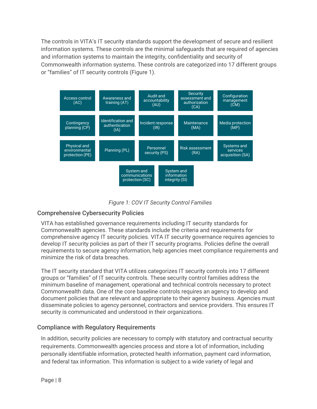The controls in VITA's IT security standards support the development of secure and resilient information systems. These controls are the minimal safeguards that are required of agencies and information systems to maintain the integrity, confidentiality and security of Commonwealth information systems. These controls are categorized into 17 different groups or "families" of IT security controls (Figure 1).



*Figure 1: COV IT Security Control Families*

## <span id="page-7-2"></span><span id="page-7-0"></span>Comprehensive Cybersecurity Policies

VITA has established governance requirements including IT security standards for Commonwealth agencies. These standards include the criteria and requirements for comprehensive agency IT security policies. VITA IT security governance requires agencies to develop IT security policies as part of their IT security programs. Policies define the overall requirements to secure agency information, help agencies meet compliance requirements and minimize the risk of data breaches.

The IT security standard that VITA utilizes categorizes IT security controls into 17 different groups or "families" of IT security controls. These security control families address the minimum baseline of management, operational and technical controls necessary to protect Commonwealth data. One of the core baseline controls requires an agency to develop and document policies that are relevant and appropriate to their agency business. Agencies must disseminate policies to agency personnel, contractors and service providers. This ensures IT security is communicated and understood in their organizations.

## <span id="page-7-1"></span>Compliance with Regulatory Requirements

In addition, security policies are necessary to comply with statutory and contractual security requirements. Commonwealth agencies process and store a lot of information, including personally [identifiable information,](javascript:void(0);) protected health information, payment card information, and federal tax information. This information is subject to a wide variety of legal and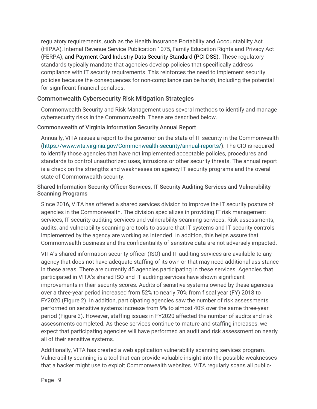regulatory requirements, such as the Health Insurance Portability and Accountability Act (HIPAA), Internal Revenue Service Publication 1075, Family Education Rights and Privacy Act (FERPA), and Payment Card Industry Data Security Standard (PCI DSS). These regulatory standards typically mandate that agencies develop policies that specifically address compliance with IT security requirements. This reinforces the need to implement security policies because the consequences for non-compliance can be harsh, including the potential for significant financial penalties.

## <span id="page-8-0"></span>Commonwealth Cybersecurity Risk Mitigation Strategies

Commonwealth Security and Risk Management uses several methods to identify and manage cybersecurity risks in the Commonwealth. These are described below.

#### Commonwealth of Virginia Information Security Annual Report

Annually, VITA issues a report to the governor on the state of IT security in the Commonwealth [\(https://www.vita.virginia.gov/Commonwealth-security/annual-reports/\)](https://www.vita.virginia.gov/Commonwealth-security/annual-reports/). The CIO is required to identify those agencies that have not implemented acceptable policies, procedures and standards to control unauthorized uses, intrusions or other security threats. The annual report is a check on the strengths and weaknesses on agency IT security programs and the overall state of Commonwealth security.

#### Shared Information Security Officer Services, IT Security Auditing Services and Vulnerability Scanning Programs

Since 2016, VITA has offered a shared services division to improve the IT security posture of agencies in the Commonwealth. The division specializes in providing IT risk management services, IT security auditing services and vulnerability scanning services. Risk assessments, audits, and vulnerability scanning are tools to assure that IT systems and IT security controls implemented by the agency are working as intended. In addition, this helps assure that Commonwealth business and the confidentiality of sensitive data are not adversely impacted.

VITA's shared information security officer (ISO) and IT auditing services are available to any agency that does not have adequate staffing of its own or that may need additional assistance in these areas. There are currently 45 agencies participating in these services. Agencies that participated in VITA's shared ISO and IT auditing services have shown significant improvements in their security scores. Audits of sensitive systems owned by these agencies over a three-year period increased from 52% to nearly 70% from fiscal year (FY) 2018 to FY2020 (Figure 2). In addition, participating agencies saw the number of risk assessments performed on sensitive systems increase from 9% to almost 40% over the same three-year period (Figure 3). However, staffing issues in FY2020 affected the number of audits and risk assessments completed. As these services continue to mature and staffing increases, we expect that participating agencies will have performed an audit and risk assessment on nearly all of their sensitive systems.

Additionally, VITA has created a web application vulnerability scanning services program. Vulnerability scanning is a tool that can provide valuable insight into the possible weaknesses that a hacker might use to exploit Commonwealth websites. VITA regularly scans all public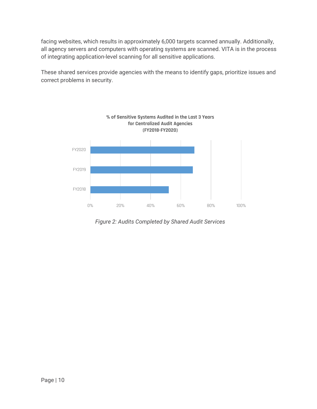facing websites, which results in approximately 6,000 targets scanned annually. Additionally, all agency servers and computers with operating systems are scanned. VITA is in the process of integrating application-level scanning for all sensitive applications.

These shared services provide agencies with the means to identify gaps, prioritize issues and correct problems in security.



<span id="page-9-0"></span>*Figure 2: Audits Completed by Shared Audit Services*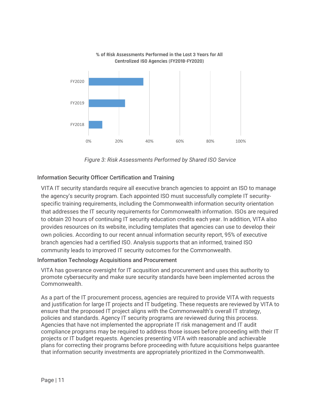

*Figure 3: Risk Assessments Performed by Shared ISO Service*

## <span id="page-10-0"></span>Information Security Officer Certification and Training

VITA IT security standards require all executive branch agencies to appoint an ISO to manage the agency's security program. Each appointed ISO must successfully complete IT securityspecific training requirements, including the Commonwealth information security orientation that addresses the IT security requirements for Commonwealth information. ISOs are required to obtain 20 hours of continuing IT security education credits each year. In addition, VITA also provides resources on its website, including templates that agencies can use to develop their own policies. According to our recent annual information security report, 95% of executive branch agencies had a certified ISO. Analysis supports that an informed, trained ISO community leads to improved IT security outcomes for the Commonwealth.

#### Information Technology Acquisitions and Procurement

VITA has goverance oversight for IT acqusition and procurement and uses this authority to promote cybersecurity and make sure security standards have been implemented across the Commonwealth.

As a part of the IT procurement process, agencies are required to provide VITA with requests and justification for large IT projects and IT budgeting. These requests are reviewed by VITA to ensure that the proposed IT project aligns with the Commonwealth's overall IT strategy, policies and standards. Agency IT security programs are reviewed during this process. Agencies that have not implemented the appropriate IT risk management and IT audit compliance programs may be required to address those issues before proceeding with their IT projects or IT budget requests. Agencies presenting VITA with reasonable and achievable plans for correcting their programs before proceeding with future acquisitions helps guarantee that information security investments are appropriately prioritized in the Commonwealth.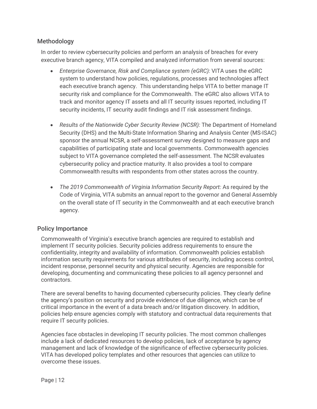## <span id="page-11-0"></span>Methodology

In order to review cybersecurity policies and perform an analysis of breaches for every executive branch agency, VITA compiled and analyzed information from several sources:

- *Enterprise Governance, Risk and Compliance system (eGRC):* VITA uses the eGRC system to understand how policies, regulations, processes and technologies affect each executive branch agency. This understanding helps VITA to better manage IT security risk and compliance for the Commonwealth. The eGRC also allows VITA to track and monitor agency IT assets and all IT security issues reported, including IT security incidents, IT security audit findings and IT risk assessment findings.
- *Results of the Nationwide Cyber Security Review (NCSR):* The Department of Homeland Security (DHS) and the Multi-State Information Sharing and Analysis Center (MS-ISAC) sponsor the annual NCSR, a self-assessment survey designed to measure gaps and capabilities of participating state and local governments. Commonwealth agencies subject to VITA governance completed the self-assessment. The NCSR evaluates cybersecurity policy and practice maturity. It also provides a tool to compare Commonwealth results with respondents from other states across the country.
- *The 2019 Commonwealth of Virginia Information Security Report:* As required by the Code of Virginia, VITA submits an annual report to the governor and General Assembly on the overall state of IT security in the Commonwealth and at each executive branch agency.

#### <span id="page-11-1"></span>Policy Importance

Commonwealth of Virginia's executive branch agencies are required to establish and implement IT security policies. Security policies address requirements to ensure the confidentiality, integrity and availability of information. Commonwealth policies establish information security requirements for various attributes of security, including access control, incident response, personnel security and physical security. Agencies are responsible for developing, documenting and communicating these policies to all agency personnel and contractors.

There are several benefits to having documented cybersecurity policies. They clearly define the agency's position on security and provide evidence of due diligence, which can be of critical importance in the event of a data breach and/or litigation discovery. In addition, policies help ensure agencies comply with statutory and contractual data requirements that require IT security policies.

Agencies face obstacles in developing IT security policies. The most common challenges include a lack of dedicated resources to develop policies, lack of acceptance by agency management and lack of knowledge of the significance of effective cybersecurity policies. VITA has developed policy templates and other resources that agencies can utilize to overcome these issues.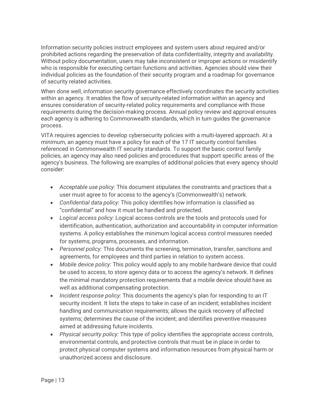Information security policies instruct employees and system users about required and/or prohibited actions regarding the preservation of data confidentiality, integrity and availability. Without policy documentation, users may take inconsistent or improper actions or misidentify who is responsible for executing certain functions and activities. Agencies should view their individual policies as the foundation of their security program and a roadmap for governance of security related activities.

When done well, information security governance effectively coordinates the security activities within an agency. It enables the flow of security-related information within an agency and ensures consideration of security-related policy requirements and compliance with those requirements during the decision-making process. Annual policy review and approval ensures each agency is adhering to Commonwealth standards, which in turn guides the governance process.

VITA requires agencies to develop cybersecurity policies with a multi-layered approach. At a minimum, an agency must have a policy for each of the 17 IT security control families referenced in Commonwealth IT security standards. To support the basic control family policies, an agency may also need policies and procedures that support specific areas of the agency's business. The following are examples of additional policies that every agency should consider:

- *Acceptable use policy:* This document stipulates the constraints and practices that a user must agree to for access to the agency's (Commonwealth's) network.
- *Confidential data policy:* This policy identifies how information is classified as "confidential" and how it must be handled and protected.
- *Logical access policy:* Logical access controls are the tools and protocols used for identification, authentication, authorization and accountability in computer information systems. A policy establishes the minimum logical access control measures needed for systems, programs, processes, and information.
- *Personnel policy:* This documents the screening, termination, transfer, sanctions and agreements, for employees and third parties in relation to system access.
- *Mobile device policy:* This policy would apply to any mobile hardware device that could be used to access, to store agency data or to access the agency's network. It defines the minimal mandatory protection requirements that a mobile device should have as well as additional compensating protection.
- *Incident response policy:* This documents the agency's plan for responding to an IT security incident. It lists the steps to take in case of an incident; establishes incident handling and communication requirements; allows the quick recovery of affected systems; determines the cause of the incident; and identifies preventive measures aimed at addressing future incidents.
- *Physical security policy:* This type of policy identifies the appropriate access controls, environmental controls, and protective controls that must be in place in order to protect physical computer systems and information resources from physical harm or unauthorized access and disclosure.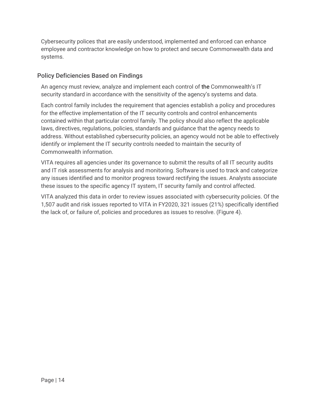Cybersecurity polices that are easily understood, implemented and enforced can enhance employee and contractor knowledge on how to protect and secure Commonwealth data and systems.

## <span id="page-13-0"></span>Policy Deficiencies Based on Findings

An agency must review, analyze and implement each control of the Commonwealth's IT security standard in accordance with the sensitivity of the agency's systems and data.

Each control family includes the requirement that agencies establish a policy and procedures for the effective implementation of the IT security controls and control enhancements contained within that particular control family. The policy should also reflect the applicable laws, directives, regulations, policies, standards and guidance that the agency needs to address. Without established cybersecurity policies, an agency would not be able to effectively identify or implement the IT security controls needed to maintain the security of Commonwealth information.

VITA requires all agencies under its governance to submit the results of all IT security audits and IT risk assessments for analysis and monitoring. Software is used to track and categorize any issues identified and to monitor progress toward rectifying the issues. Analysts associate these issues to the specific agency IT system, IT security family and control affected.

VITA analyzed this data in order to review issues associated with cybersecurity policies. Of the 1,507 audit and risk issues reported to VITA in FY2020, 321 issues (21%) specifically identified the lack of, or failure of, policies and procedures as issues to resolve. (Figure 4).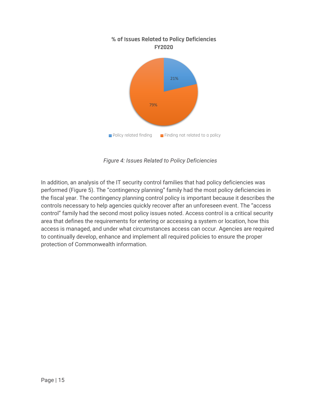

*Figure 4: Issues Related to Policy Deficiencies*

<span id="page-14-0"></span>In addition, an analysis of the IT security control families that had policy deficiencies was performed (Figure 5). The "contingency planning" family had the most policy deficiencies in the fiscal year. The contingency planning control policy is important because it describes the controls necessary to help agencies quickly recover after an unforeseen event. The "access control" family had the second most policy issues noted. Access control is a critical security area that defines the requirements for entering or accessing a system or location, how this access is managed, and under what circumstances access can occur. Agencies are required to continually develop, enhance and implement all required policies to ensure the proper protection of Commonwealth information.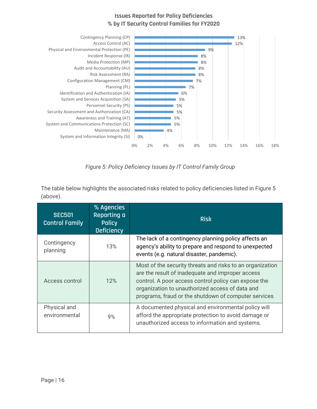## **Issues Reported for Policy Deficiencies % by IT Security Control Families for FY2020**



*Figure 5: Policy Deficiency Issues by IT Control Family Group*

<span id="page-15-0"></span>The table below highlights the associated risks related to policy deficiencies listed in Figure 5 (above).

| <b>SEC501</b><br><b>Control Family</b> | % Agencies<br>Reporting a<br><b>Policy</b><br><b>Deficiency</b> | <b>Risk</b>                                                                                                                                                                                                                                                                      |
|----------------------------------------|-----------------------------------------------------------------|----------------------------------------------------------------------------------------------------------------------------------------------------------------------------------------------------------------------------------------------------------------------------------|
| Contingency<br>planning                | 13%                                                             | The lack of a contingency planning policy affects an<br>agency's ability to prepare and respond to unexpected<br>events (e.g. natural disaster, pandemic).                                                                                                                       |
| Access control                         | 12%                                                             | Most of the security threats and risks to an organization<br>are the result of inadequate and improper access<br>control. A poor access control policy can expose the<br>organization to unauthorized access of data and<br>programs, fraud or the shutdown of computer services |
| Physical and<br>environmental          | 9%                                                              | A documented physical and environmental policy will<br>afford the appropriate protection to avoid damage or<br>unauthorized access to information and systems.                                                                                                                   |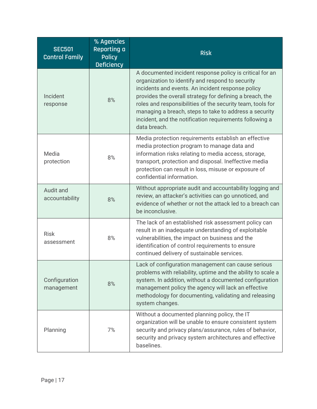| <b>SEC501</b><br><b>Control Family</b> | % Agencies<br>Reporting a<br><b>Policy</b><br><b>Deficiency</b> | <b>Risk</b>                                                                                                                                                                                                                                                                                                                                                                                                                      |  |
|----------------------------------------|-----------------------------------------------------------------|----------------------------------------------------------------------------------------------------------------------------------------------------------------------------------------------------------------------------------------------------------------------------------------------------------------------------------------------------------------------------------------------------------------------------------|--|
| Incident<br>response                   | 8%                                                              | A documented incident response policy is critical for an<br>organization to identify and respond to security<br>incidents and events. An incident response policy<br>provides the overall strategy for defining a breach, the<br>roles and responsibilities of the security team, tools for<br>managing a breach, steps to take to address a security<br>incident, and the notification requirements following a<br>data breach. |  |
| Media<br>protection                    | 8%                                                              | Media protection requirements establish an effective<br>media protection program to manage data and<br>information risks relating to media access, storage,<br>transport, protection and disposal. Ineffective media<br>protection can result in loss, misuse or exposure of<br>confidential information.                                                                                                                        |  |
| Audit and<br>accountability            | 8%                                                              | Without appropriate audit and accountability logging and<br>review, an attacker's activities can go unnoticed, and<br>evidence of whether or not the attack led to a breach can<br>be inconclusive.                                                                                                                                                                                                                              |  |
| <b>Risk</b><br>assessment              | 8%                                                              | The lack of an established risk assessment policy can<br>result in an inadequate understanding of exploitable<br>vulnerabilities, the impact on business and the<br>identification of control requirements to ensure<br>continued delivery of sustainable services.                                                                                                                                                              |  |
| Configuration<br>management            | 8%                                                              | Lack of configuration management can cause serious<br>problems with reliability, uptime and the ability to scale a<br>system. In addition, without a documented configuration<br>management policy the agency will lack an effective<br>methodology for documenting, validating and releasing<br>system changes.                                                                                                                 |  |
| Planning                               | 7%                                                              | Without a documented planning policy, the IT<br>organization will be unable to ensure consistent system<br>security and privacy plans/assurance, rules of behavior,<br>security and privacy system architectures and effective<br>baselines.                                                                                                                                                                                     |  |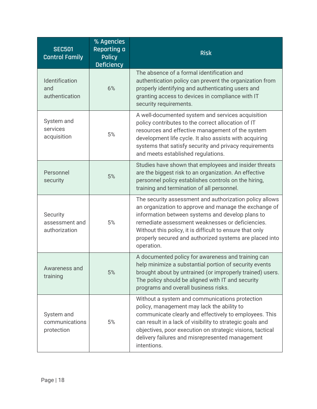| <b>SEC501</b><br><b>Control Family</b>      | % Agencies<br>Reporting a<br><b>Policy</b><br><b>Deficiency</b> | <b>Risk</b>                                                                                                                                                                                                                                                                                                                                                   |  |
|---------------------------------------------|-----------------------------------------------------------------|---------------------------------------------------------------------------------------------------------------------------------------------------------------------------------------------------------------------------------------------------------------------------------------------------------------------------------------------------------------|--|
| Identification<br>and<br>authentication     | 6%                                                              | The absence of a formal identification and<br>authentication policy can prevent the organization from<br>properly identifying and authenticating users and<br>granting access to devices in compliance with IT<br>security requirements.                                                                                                                      |  |
| System and<br>services<br>acquisition       | 5%                                                              | A well-documented system and services acquisition<br>policy contributes to the correct allocation of IT<br>resources and effective management of the system<br>development life cycle. It also assists with acquiring<br>systems that satisfy security and privacy requirements<br>and meets established regulations.                                         |  |
| Personnel<br>security                       | 5%                                                              | Studies have shown that employees and insider threats<br>are the biggest risk to an organization. An effective<br>personnel policy establishes controls on the hiring,<br>training and termination of all personnel.                                                                                                                                          |  |
| Security<br>assessment and<br>authorization | 5%                                                              | The security assessment and authorization policy allows<br>an organization to approve and manage the exchange of<br>information between systems and develop plans to<br>remediate assessment weaknesses or deficiencies.<br>Without this policy, it is difficult to ensure that only<br>properly secured and authorized systems are placed into<br>operation. |  |
| Awareness and<br>training                   | 5%                                                              | A documented policy for awareness and training can<br>help minimize a substantial portion of security events<br>brought about by untrained (or improperly trained) users.<br>The policy should be aligned with IT and security<br>programs and overall business risks.                                                                                        |  |
| System and<br>communications<br>protection  | 5%                                                              | Without a system and communications protection<br>policy, management may lack the ability to<br>communicate clearly and effectively to employees. This<br>can result in a lack of visibility to strategic goals and<br>objectives, poor execution on strategic visions, tactical<br>delivery failures and misrepresented management<br>intentions.            |  |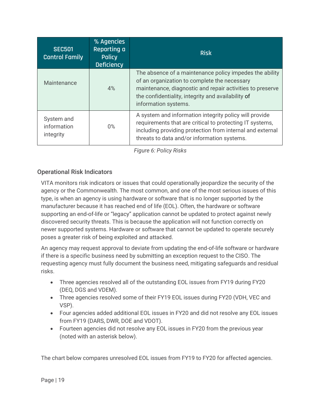| <b>SEC501</b><br><b>Control Family</b> | % Agencies<br>Reporting a<br><b>Policy</b><br><b>Deficiency</b> | <b>Risk</b>                                                                                                                                                                                                                                        |
|----------------------------------------|-----------------------------------------------------------------|----------------------------------------------------------------------------------------------------------------------------------------------------------------------------------------------------------------------------------------------------|
| Maintenance                            | 4%                                                              | The absence of a maintenance policy impedes the ability<br>of an organization to complete the necessary<br>maintenance, diagnostic and repair activities to preserve<br>the confidentiality, integrity and availability of<br>information systems. |
| System and<br>information<br>integrity | $0\%$                                                           | A system and information integrity policy will provide<br>requirements that are critical to protecting IT systems,<br>including providing protection from internal and external<br>threats to data and/or information systems.                     |

*Figure 6: Policy Risks*

## <span id="page-18-1"></span><span id="page-18-0"></span>Operational Risk Indicators

VITA monitors risk indicators or issues that could operationally jeopardize the security of the agency or the Commonwealth. The most common, and one of the most serious issues of this type, is when an agency is using hardware or software that is no longer supported by the manufacturer because it has reached end of life (EOL). Often, the hardware or software supporting an end-of-life or "legacy" application cannot be updated to protect against newly discovered security threats. This is because the application will not function correctly on newer supported systems. Hardware or software that cannot be updated to operate securely poses a greater risk of being exploited and attacked.

An agency may request approval to deviate from updating the end-of-life software or hardware if there is a specific business need by submitting an exception request to the CISO. The requesting agency must fully document the business need, mitigating safeguards and residual risks.

- Three agencies resolved all of the outstanding EOL issues from FY19 during FY20 (DEQ, DGS and VDEM).
- Three agencies resolved some of their FY19 EOL issues during FY20 (VDH, VEC and VSP).
- Four agencies added additional EOL issues in FY20 and did not resolve any EOL issues from FY19 (DARS, DWR, DOE and VDOT).
- Fourteen agencies did not resolve any EOL issues in FY20 from the previous year (noted with an asterisk below).

The chart below compares unresolved EOL issues from FY19 to FY20 for affected agencies.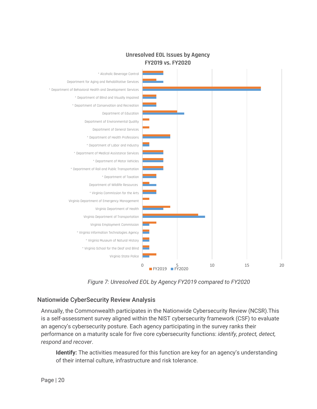

#### **Unresolved EOL Issues by Agency FY2019 vs. FY2020**

*Figure 7: Unresolved EOL by Agency FY2019 compared to FY2020*

## <span id="page-19-0"></span>Nationwide CyberSecurity Review Analysis

Annually, the Commonwealth participates in the Nationwide Cybersecurity Review (NCSR).This is a self-assessment survey aligned within the NIST cybersecurity framework (CSF) to evaluate an agency's cybersecurity posture. Each agency participating in the survey ranks their performance on a maturity scale for five core cybersecurity functions: *identify, protect, detect, respond and recover*.

**Identify:** The activities measured for this function are key for an agency's understanding of their internal culture, infrastructure and risk tolerance.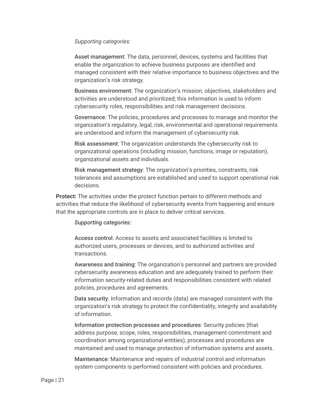#### *Supporting categories:*

Asset management: The data, personnel, devices, systems and facilities that enable the organization to achieve business purposes are identified and managed consistent with their relative importance to business objectives and the organization's risk strategy.

Business environment: The organization's mission, objectives, stakeholders and activities are understood and prioritized; this information is used to inform cybersecurity roles, responsibilities and risk management decisions.

Governance: The policies, procedures and processes to manage and monitor the organization's regulatory, legal, risk, environmental and operational requirements are understood and inform the management of cybersecurity risk.

Risk assessment: The organization understands the cybersecurity risk to organizational operations (including mission, functions, image or reputation), organizational assets and individuals.

Risk management strategy: The organization's priorities, constraints, risk tolerances and assumptions are established and used to support operational risk decisions.

**Protect:** The activities under the protect function pertain to different methods and activities that reduce the likelihood of cybersecurity events from happening and ensure that the appropriate controls are in place to deliver critical services.

#### *Supporting categories:*

Access control: Access to assets and associated facilities is limited to authorized users, processes or devices, and to authorized activities and transactions.

Awareness and training: The organization's personnel and partners are provided cybersecurity awareness education and are adequately trained to perform their information security-related duties and responsibilities consistent with related policies, procedures and agreements.

Data security: Information and records (data) are managed consistent with the organization's risk strategy to protect the confidentiality, integrity and availability of information.

Information protection processes and procedures: Security policies (that address purpose, scope, roles, responsibilities, management commitment and coordination among organizational entities), processes and procedures are maintained and used to manage protection of information systems and assets.

Maintenance: Maintenance and repairs of industrial control and information system components is performed consistent with policies and procedures.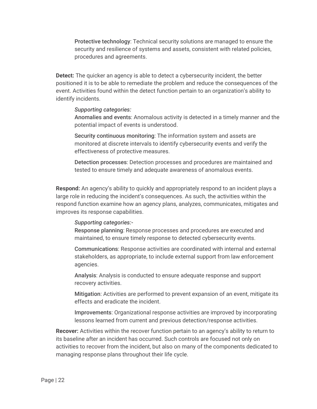Protective technology: Technical security solutions are managed to ensure the security and resilience of systems and assets, consistent with related policies, procedures and agreements.

**Detect:** The quicker an agency is able to detect a cybersecurity incident, the better positioned it is to be able to remediate the problem and reduce the consequences of the event. Activities found within the detect function pertain to an organization's ability to identify incidents.

#### *Supporting categories:*

Anomalies and events: Anomalous activity is detected in a timely manner and the potential impact of events is understood.

Security continuous monitoring: The information system and assets are monitored at discrete intervals to identify cybersecurity events and verify the effectiveness of protective measures.

Detection processes: Detection processes and procedures are maintained and tested to ensure timely and adequate awareness of anomalous events.

**Respond:** An agency's ability to quickly and appropriately respond to an incident plays a large role in reducing the incident's consequences. As such, the activities within the respond function examine how an agency plans, analyzes, communicates, mitigates and improves its response capabilities.

#### *Supporting categories:-*

Response planning: Response processes and procedures are executed and maintained, to ensure timely response to detected cybersecurity events.

Communications: Response activities are coordinated with internal and external stakeholders, as appropriate, to include external support from law enforcement agencies.

Analysis: Analysis is conducted to ensure adequate response and support recovery activities.

Mitigation: Activities are performed to prevent expansion of an event, mitigate its effects and eradicate the incident.

Improvements: Organizational response activities are improved by incorporating lessons learned from current and previous detection/response activities.

**Recover:** Activities within the recover function pertain to an agency's ability to return to its baseline after an incident has occurred. Such controls are focused not only on activities to recover from the incident, but also on many of the components dedicated to managing response plans throughout their life cycle.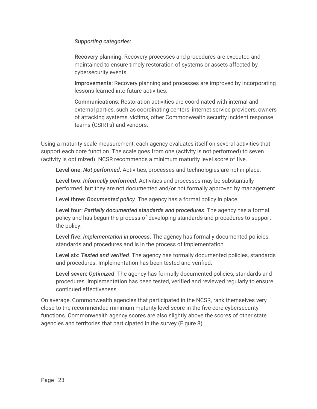#### *Supporting categories:*

Recovery planning: Recovery processes and procedures are executed and maintained to ensure timely restoration of systems or assets affected by cybersecurity events.

Improvements: Recovery planning and processes are improved by incorporating lessons learned into future activities.

Communications: Restoration activities are coordinated with internal and external parties, such as coordinating centers, internet service providers, owners of attacking systems, victims, other Commonwealth security incident response teams (CSIRTs) and vendors.

Using a maturity scale measurement, each agency evaluates itself on several activities that support each core function. The scale goes from one (activity is not performed) to seven (activity is optimized). NCSR recommends a minimum maturity level score of five.

Level one: *Not performed*. Activities, processes and technologies are not in place.

Level two: *Informally performed*. Activities and processes may be substantially performed, but they are not documented and/or not formally approved by management.

Level three: *Documented policy*. The agency has a formal policy in place.

Level four: *Partially documented standards and procedures*. The agency has a formal policy and has begun the process of developing standards and procedures to support the policy.

Level five: *Implementation in process*. The agency has formally documented policies, standards and procedures and is in the process of implementation.

Level six: *Tested and verified*. The agency has formally documented policies, standards and procedures. Implementation has been tested and verified.

Level seven: *Optimized*. The agency has formally documented policies, standards and procedures. Implementation has been tested, verified and reviewed regularly to ensure continued effectiveness.

On average, Commonwealth agencies that participated in the NCSR, rank themselves very close to the recommended minimum maturity level score in the five core cybersecurity functions. Commonwealth agency scores are also slightly above the scores of other state agencies and territories that participated in the survey (Figure 8).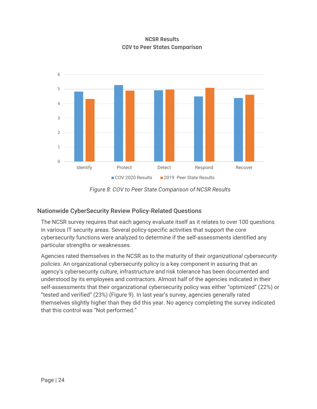## **NCSR Results COV to Peer States Comparison**



*Figure 8: COV to Peer State Comparison of NCSR Results*

## <span id="page-23-1"></span><span id="page-23-0"></span>Nationwide CyberSecurity Review Policy-Related Questions

The NCSR survey requires that each agency evaluate itself as it relates to over 100 questions in various IT security areas. Several policy-specific activities that support the core cybersecurity functions were analyzed to determine if the self-assessments identified any particular strengths or weaknesses.

Agencies rated themselves in the NCSR as to the maturity of their *organizational cybersecurity policies*. An organizational cybersecurity policy is a key component in assuring that an agency's cybersecurity culture, infrastructure and risk tolerance has been documented and understood by its employees and contractors. Almost half of the agencies indicated in their self-assessments that their organizational cybersecurity policy was either "optimized" (22%) or "tested and verified" (23%) (Figure 9). In last year's survey, agencies generally rated themselves slightly higher than they did this year. No agency completing the survey indicated that this control was "Not performed."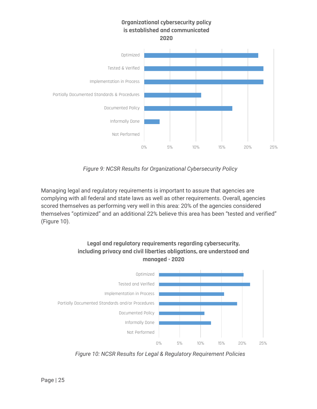#### **Organizational cybersecurity policy is established and communicated 2020**



*Figure 9: NCSR Results for Organizational Cybersecurity Policy*

<span id="page-24-0"></span>Managing legal and regulatory requirements is important to assure that agencies are complying with all federal and state laws as well as other requirements. Overall, agencies scored themselves as performing very well in this area: 20% of the agencies considered themselves "optimized" and an additional 22% believe this area has been "tested and verified" (Figure 10).



**Legal and regulatory requirements regarding cybersecurity, including privacy and civil liberties obligations, are understood and managed - 2020**

<span id="page-24-1"></span>*Figure 10: NCSR Results for Legal & Regulatory Requirement Policies*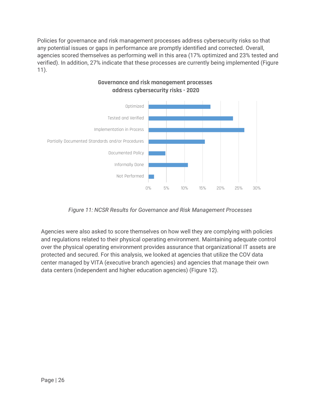Policies for governance and risk management processes address cybersecurity risks so that any potential issues or gaps in performance are promptly identified and corrected. Overall, agencies scored themselves as performing well in this area (17% optimized and 23% tested and verified). In addition, 27% indicate that these processes are currently being implemented (Figure 11).



## **Governance and risk management processes address cybersecurity risks - 2020**

*Figure 11: NCSR Results for Governance and Risk Management Processes*

<span id="page-25-0"></span>Agencies were also asked to score themselves on how well they are complying with policies and regulations related to their physical operating environment. Maintaining adequate control over the physical operating environment provides assurance that organizational IT assets are protected and secured. For this analysis, we looked at agencies that utilize the COV data center managed by VITA (executive branch agencies) and agencies that manage their own data centers (independent and higher education agencies) (Figure 12).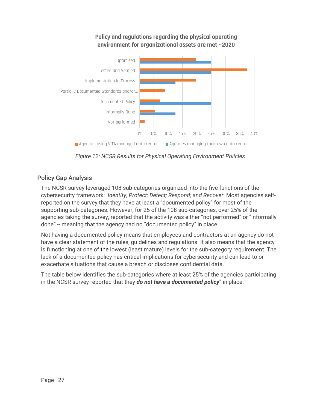## **Policy and regulations regarding the physical operating environment for organizational assets are met - 2020**



<span id="page-26-1"></span>*Figure 12: NCSR Results for Physical Operating Environment Policies*

## <span id="page-26-0"></span>Policy Gap Analysis

The NCSR survey leveraged 108 sub-categories organized into the five functions of the cybersecurity framework: *Identify; Protect; Detect; Respond; and Recover*. Most agencies selfreported on the survey that they have at least a "documented policy" for most of the supporting sub-categories. However, for 25 of the 108 sub-categories, over 25% of the agencies taking the survey, reported that the activity was either "not performed" or "informally done" -- meaning that the agency had no "documented policy" in place.

Not having a documented policy means that employees and contractors at an agency do not have a clear statement of the rules, guidelines and regulations. It also means that the agency is functioning at one of the lowest (least mature) levels for the sub-category requirement. The lack of a documented policy has critical implications for cybersecurity and can lead to or exacerbate situations that cause a breach or discloses confidential data.

The table below identifies the sub-categories where at least 25% of the agencies participating in the NCSR survey reported that they *do not have a documented policy*" in place.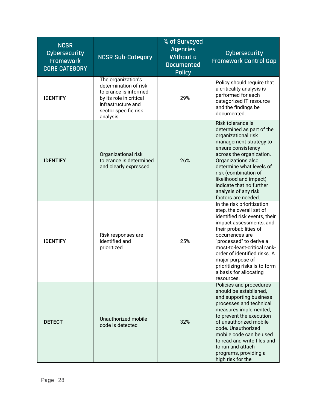| <b>NCSR</b><br><b>Cybersecurity</b><br><b>Framework</b><br><b>CORE CATEGORY</b> | <b>NCSR Sub-Category</b>                                                                                                                                  | % of Surveyed<br><b>Agencies</b><br>Without a<br><b>Documented</b><br><b>Policy</b> | <b>Cybersecurity</b><br><b>Framework Control Gap</b>                                                                                                                                                                                                                                                                                                    |
|---------------------------------------------------------------------------------|-----------------------------------------------------------------------------------------------------------------------------------------------------------|-------------------------------------------------------------------------------------|---------------------------------------------------------------------------------------------------------------------------------------------------------------------------------------------------------------------------------------------------------------------------------------------------------------------------------------------------------|
| <b>IDENTIFY</b>                                                                 | The organization's<br>determination of risk<br>tolerance is informed<br>by its role in critical<br>infrastructure and<br>sector specific risk<br>analysis | 29%                                                                                 | Policy should require that<br>a criticality analysis is<br>performed for each<br>categorized IT resource<br>and the findings be<br>documented.                                                                                                                                                                                                          |
| <b>IDENTIFY</b>                                                                 | Organizational risk<br>tolerance is determined<br>and clearly expressed                                                                                   | 26%                                                                                 | Risk tolerance is<br>determined as part of the<br>organizational risk<br>management strategy to<br>ensure consistency<br>across the organization.<br>Organizations also<br>determine what levels of<br>risk (combination of<br>likelihood and impact)<br>indicate that no further<br>analysis of any risk<br>factors are needed.                        |
| <b>IDENTIFY</b>                                                                 | Risk responses are<br>identified and<br>prioritized                                                                                                       | 25%                                                                                 | In the risk prioritization<br>step, the overall set of<br>identified risk events, their<br>impact assessments, and<br>their probabilities of<br>occurrences are<br>"processed" to derive a<br>most-to-least-critical rank-<br>order of identified risks. A<br>major purpose of<br>prioritizing risks is to form<br>a basis for allocating<br>resources. |
| <b>DETECT</b>                                                                   | Unauthorized mobile<br>code is detected                                                                                                                   | 32%                                                                                 | Policies and procedures<br>should be established,<br>and supporting business<br>processes and technical<br>measures implemented,<br>to prevent the execution<br>of unauthorized mobile<br>code. Unauthorized<br>mobile code can be used<br>to read and write files and<br>to run and attach<br>programs, providing a<br>high risk for the               |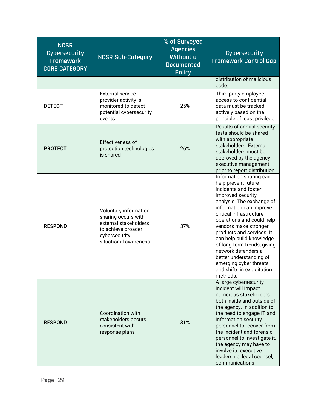| <b>NCSR</b><br><b>Cybersecurity</b><br><b>Framework</b><br><b>CORE CATEGORY</b> | <b>NCSR Sub-Category</b>                                                                                                              | % of Surveyed<br><b>Agencies</b><br>Without a<br><b>Documented</b><br><b>Policy</b> | <b>Cybersecurity</b><br><b>Framework Control Gap</b>                                                                                                                                                                                                                                                                                                                                                                                               |
|---------------------------------------------------------------------------------|---------------------------------------------------------------------------------------------------------------------------------------|-------------------------------------------------------------------------------------|----------------------------------------------------------------------------------------------------------------------------------------------------------------------------------------------------------------------------------------------------------------------------------------------------------------------------------------------------------------------------------------------------------------------------------------------------|
|                                                                                 |                                                                                                                                       |                                                                                     | distribution of malicious<br>code.                                                                                                                                                                                                                                                                                                                                                                                                                 |
| <b>DETECT</b>                                                                   | <b>External service</b><br>provider activity is<br>monitored to detect<br>potential cybersecurity<br>events                           | 25%                                                                                 | Third party employee<br>access to confidential<br>data must be tracked<br>actively based on the<br>principle of least privilege.                                                                                                                                                                                                                                                                                                                   |
| <b>PROTECT</b>                                                                  | Effectiveness of<br>protection technologies<br>is shared                                                                              | 26%                                                                                 | Results of annual security<br>tests should be shared<br>with appropriate<br>stakeholders. External<br>stakeholders must be<br>approved by the agency<br>executive management<br>prior to report distribution.                                                                                                                                                                                                                                      |
| <b>RESPOND</b>                                                                  | Voluntary information<br>sharing occurs with<br>external stakeholders<br>to achieve broader<br>cybersecurity<br>situational awareness | 37%                                                                                 | Information sharing can<br>help prevent future<br>incidents and foster<br>improved security<br>analysis. The exchange of<br>information can improve<br>critical infrastructure<br>operations and could help<br>vendors make stronger<br>products and services. It<br>can help build knowledge<br>of long-term trends, giving<br>network defenders a<br>better understanding of<br>emerging cyber threats<br>and shifts in exploitation<br>methods. |
| <b>RESPOND</b>                                                                  | Coordination with<br>stakeholders occurs<br>consistent with<br>response plans                                                         | 31%                                                                                 | A large cybersecurity<br>incident will impact<br>numerous stakeholders<br>both inside and outside of<br>the agency. In addition to<br>the need to engage IT and<br>information security<br>personnel to recover from<br>the incident and forensic<br>personnel to investigate it,<br>the agency may have to<br>involve its executive<br>leadership, legal counsel,<br>communications                                                               |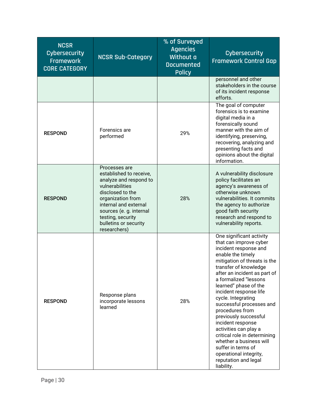| <b>NCSR</b><br><b>Cybersecurity</b><br><b>Framework</b><br><b>CORE CATEGORY</b> | <b>NCSR Sub-Category</b>                                                                                                                                                                                                                         | % of Surveyed<br><b>Agencies</b><br>Without a<br><b>Documented</b><br><b>Policy</b> | <b>Cybersecurity</b><br><b>Framework Control Gap</b>                                                                                                                                                                                                                                                                                                                                                                                                                                                                                                               |
|---------------------------------------------------------------------------------|--------------------------------------------------------------------------------------------------------------------------------------------------------------------------------------------------------------------------------------------------|-------------------------------------------------------------------------------------|--------------------------------------------------------------------------------------------------------------------------------------------------------------------------------------------------------------------------------------------------------------------------------------------------------------------------------------------------------------------------------------------------------------------------------------------------------------------------------------------------------------------------------------------------------------------|
|                                                                                 |                                                                                                                                                                                                                                                  |                                                                                     | personnel and other<br>stakeholders in the course<br>of its incident response<br>efforts.                                                                                                                                                                                                                                                                                                                                                                                                                                                                          |
| <b>RESPOND</b>                                                                  | Forensics are<br>performed                                                                                                                                                                                                                       | 29%                                                                                 | The goal of computer<br>forensics is to examine<br>digital media in a<br>forensically sound<br>manner with the aim of<br>identifying, preserving,<br>recovering, analyzing and<br>presenting facts and<br>opinions about the digital<br>information.                                                                                                                                                                                                                                                                                                               |
| <b>RESPOND</b>                                                                  | Processes are<br>established to receive,<br>analyze and respond to<br>vulnerabilities<br>disclosed to the<br>organization from<br>internal and external<br>sources (e. g. internal<br>testing, security<br>bulletins or security<br>researchers) | 28%                                                                                 | A vulnerability disclosure<br>policy facilitates an<br>agency's awareness of<br>otherwise unknown<br>vulnerabilities. It commits<br>the agency to authorize<br>good faith security<br>research and respond to<br>vulnerability reports.                                                                                                                                                                                                                                                                                                                            |
| <b>RESPOND</b>                                                                  | Response plans<br>incorporate lessons<br>learned                                                                                                                                                                                                 | 28%                                                                                 | One significant activity<br>that can improve cyber<br>incident response and<br>enable the timely<br>mitigation of threats is the<br>transfer of knowledge<br>after an incident as part of<br>a formalized "lessons<br>learned" phase of the<br>incident response life<br>cycle. Integrating<br>successful processes and<br>procedures from<br>previously successful<br>incident response<br>activities can play a<br>critical role in determining<br>whether a business will<br>suffer in terms of<br>operational integrity,<br>reputation and legal<br>liability. |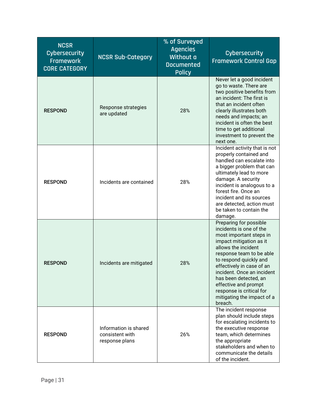| <b>NCSR</b><br><b>Cybersecurity</b><br><b>Framework</b><br><b>CORE CATEGORY</b> | <b>NCSR Sub-Category</b>                                   | % of Surveyed<br><b>Agencies</b><br>Without a<br><b>Documented</b><br><b>Policy</b> | <b>Cybersecurity</b><br><b>Framework Control Gap</b>                                                                                                                                                                                                                                                                                                                  |
|---------------------------------------------------------------------------------|------------------------------------------------------------|-------------------------------------------------------------------------------------|-----------------------------------------------------------------------------------------------------------------------------------------------------------------------------------------------------------------------------------------------------------------------------------------------------------------------------------------------------------------------|
| <b>RESPOND</b>                                                                  | Response strategies<br>are updated                         | 28%                                                                                 | Never let a good incident<br>go to waste. There are<br>two positive benefits from<br>an incident: The first is<br>that an incident often<br>clearly illustrates both<br>needs and impacts; an<br>incident is often the best<br>time to get additional<br>investment to prevent the<br>next one.                                                                       |
| <b>RESPOND</b>                                                                  | Incidents are contained                                    | 28%                                                                                 | Incident activity that is not<br>properly contained and<br>handled can escalate into<br>a bigger problem that can<br>ultimately lead to more<br>damage. A security<br>incident is analogous to a<br>forest fire. Once an<br>incident and its sources<br>are detected, action must<br>be taken to contain the<br>damage.                                               |
| <b>RESPOND</b>                                                                  | Incidents are mitigated                                    | 28%                                                                                 | Preparing for possible<br>incidents is one of the<br>most important steps in<br>impact mitigation as it<br>allows the incident<br>response team to be able<br>to respond quickly and<br>effectively in case of an<br>incident. Once an incident<br>has been detected, an<br>effective and prompt<br>response is critical for<br>mitigating the impact of a<br>breach. |
| <b>RESPOND</b>                                                                  | Information is shared<br>consistent with<br>response plans | 26%                                                                                 | The incident response<br>plan should include steps<br>for escalating incidents to<br>the executive response<br>team, which determines<br>the appropriate<br>stakeholders and when to<br>communicate the details<br>of the incident.                                                                                                                                   |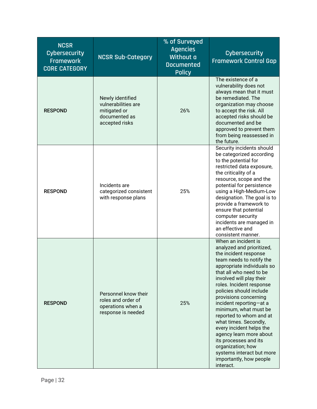| <b>NCSR</b><br><b>Cybersecurity</b><br><b>Framework</b><br><b>CORE CATEGORY</b> | <b>NCSR Sub-Category</b>                                                                   | % of Surveyed<br><b>Agencies</b><br>Without a<br><b>Documented</b><br><b>Policy</b> | <b>Cybersecurity</b><br><b>Framework Control Gap</b>                                                                                                                                                                                                                                                                                                                                                                                                                                                                                                         |
|---------------------------------------------------------------------------------|--------------------------------------------------------------------------------------------|-------------------------------------------------------------------------------------|--------------------------------------------------------------------------------------------------------------------------------------------------------------------------------------------------------------------------------------------------------------------------------------------------------------------------------------------------------------------------------------------------------------------------------------------------------------------------------------------------------------------------------------------------------------|
| <b>RESPOND</b>                                                                  | Newly identified<br>vulnerabilities are<br>mitigated or<br>documented as<br>accepted risks | 26%                                                                                 | The existence of a<br>vulnerability does not<br>always mean that it must<br>be remediated. The<br>organization may choose<br>to accept the risk. All<br>accepted risks should be<br>documented and be<br>approved to prevent them<br>from being reassessed in<br>the future.                                                                                                                                                                                                                                                                                 |
| <b>RESPOND</b>                                                                  | Incidents are<br>categorized consistent<br>with response plans                             | 25%                                                                                 | Security incidents should<br>be categorized according<br>to the potential for<br>restricted data exposure,<br>the criticality of a<br>resource, scope and the<br>potential for persistence<br>using a High-Medium-Low<br>designation. The goal is to<br>provide a framework to<br>ensure that potential<br>computer security<br>incidents are managed in<br>an effective and<br>consistent manner.                                                                                                                                                           |
| <b>RESPOND</b>                                                                  | Personnel know their<br>roles and order of<br>operations when a<br>response is needed      | 25%                                                                                 | When an incident is<br>analyzed and prioritized,<br>the incident response<br>team needs to notify the<br>appropriate individuals so<br>that all who need to be<br>involved will play their<br>roles. Incident response<br>policies should include<br>provisions concerning<br>incident reporting-at a<br>minimum, what must be<br>reported to whom and at<br>what times. Secondly,<br>every incident helps the<br>agency learn more about<br>its processes and its<br>organization; how<br>systems interact but more<br>importantly, how people<br>interact. |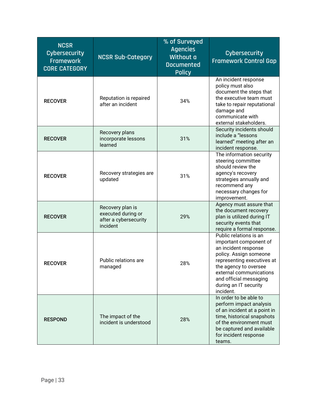| <b>NCSR</b><br><b>Cybersecurity</b><br><b>Framework</b><br><b>CORE CATEGORY</b> | <b>NCSR Sub-Category</b>                                                    | % of Surveyed<br><b>Agencies</b><br>Without a<br><b>Documented</b><br><b>Policy</b> | <b>Cybersecurity</b><br><b>Framework Control Gap</b>                                                                                                                                                                                                 |
|---------------------------------------------------------------------------------|-----------------------------------------------------------------------------|-------------------------------------------------------------------------------------|------------------------------------------------------------------------------------------------------------------------------------------------------------------------------------------------------------------------------------------------------|
| <b>RECOVER</b>                                                                  | Reputation is repaired<br>after an incident                                 | 34%                                                                                 | An incident response<br>policy must also<br>document the steps that<br>the executive team must<br>take to repair reputational<br>damage and<br>communicate with<br>external stakeholders.                                                            |
| <b>RECOVER</b>                                                                  | Recovery plans<br>incorporate lessons<br>learned                            | 31%                                                                                 | Security incidents should<br>include a "lessons<br>learned" meeting after an<br>incident response.                                                                                                                                                   |
| <b>RECOVER</b>                                                                  | Recovery strategies are<br>updated                                          | 31%                                                                                 | The information security<br>steering committee<br>should review the<br>agency's recovery<br>strategies annually and<br>recommend any<br>necessary changes for<br>improvement.                                                                        |
| <b>RECOVER</b>                                                                  | Recovery plan is<br>executed during or<br>after a cybersecurity<br>incident | 29%                                                                                 | Agency must assure that<br>the document recovery<br>plan is utilized during IT<br>security events that<br>require a formal response.                                                                                                                 |
| <b>RECOVER</b>                                                                  | Public relations are<br>managed                                             | 28%                                                                                 | Public relations is an<br>important component of<br>an incident response<br>policy. Assign someone<br>representing executives at<br>the agency to oversee<br>external communications<br>and official messaging<br>during an IT security<br>incident. |
| <b>RESPOND</b>                                                                  | The impact of the<br>incident is understood                                 | 28%                                                                                 | In order to be able to<br>perform impact analysis<br>of an incident at a point in<br>time, historical snapshots<br>of the environment must<br>be captured and available<br>for incident response<br>teams.                                           |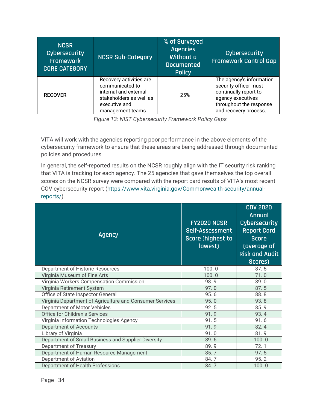| <b>NCSR</b><br>Cybersecurity<br><b>Framework</b><br><b>CORE CATEGORY</b> | <b>NCSR Sub-Category</b>                                                                                                            | % of Surveyed<br><b>Agencies</b><br>Without a<br><b>Documented</b><br><b>Policy</b> | Cybersecurity<br><b>Framework Control Gap</b>                                                                                                       |
|--------------------------------------------------------------------------|-------------------------------------------------------------------------------------------------------------------------------------|-------------------------------------------------------------------------------------|-----------------------------------------------------------------------------------------------------------------------------------------------------|
| <b>RECOVER</b>                                                           | Recovery activities are<br>communicated to<br>internal and external<br>stakeholders as well as<br>executive and<br>management teams | 25%                                                                                 | The agency's information<br>security officer must<br>continually report to<br>agency executives<br>throughout the response<br>and recovery process. |

*Figure 13: NIST Cybersecurity Framework Policy Gaps*

<span id="page-33-0"></span>VITA will work with the agencies reporting poor performance in the above elements of the cybersecurity framework to ensure that these areas are being addressed through documented policies and procedures.

In general, the self-reported results on the NCSR roughly align with the IT security risk ranking that VITA is tracking for each agency. The 25 agencies that gave themselves the top overall scores on the NCSR survey were compared with the report card results of VITA's most recent COV cybersecurity report [\(https://www.vita.virginia.gov/Commonwealth-security/annual](https://www.vita.virginia.gov/Commonwealth-security/annual-reports/)[reports/\)](https://www.vita.virginia.gov/Commonwealth-security/annual-reports/).

| <b>Agency</b>                                            | <b>FY2020 NCSR</b><br>Self-Assessment<br><b>Score (highest to</b><br>lowest) | <b>COV 2020</b><br>Annual<br><b>Cybersecurity</b><br><b>Report Card</b><br><b>Score</b><br>(average of<br><b>Risk and Audit</b><br>Scores) |
|----------------------------------------------------------|------------------------------------------------------------------------------|--------------------------------------------------------------------------------------------------------------------------------------------|
| Department of Historic Resources                         | 100.0                                                                        | 87.5                                                                                                                                       |
| Virginia Museum of Fine Arts                             | 100.0                                                                        | 71.0                                                                                                                                       |
| Virginia Workers Compensation Commission                 | 98.9                                                                         | 89.0                                                                                                                                       |
| Virginia Retirement System                               | 97.0                                                                         | 87.5                                                                                                                                       |
| Office of State Inspector General                        | 95.6                                                                         | 88.8                                                                                                                                       |
| Virginia Department of Agriculture and Consumer Services | 95.0                                                                         | 93.8                                                                                                                                       |
| Department of Motor Vehicles                             | 92.5                                                                         | 85.9                                                                                                                                       |
| <b>Office for Children's Services</b>                    | 91.9                                                                         | 93.4                                                                                                                                       |
| Virginia Information Technologies Agency                 | 91.5                                                                         | 91.6                                                                                                                                       |
| <b>Department of Accounts</b>                            | 91.9                                                                         | 82.4                                                                                                                                       |
| Library of Virginia                                      | 91.0                                                                         | 81.9                                                                                                                                       |
| Department of Small Business and Supplier Diversity      | 89.6                                                                         | 100.0                                                                                                                                      |
| Department of Treasury                                   | 89.9                                                                         | 72.1                                                                                                                                       |
| Department of Human Resource Management                  | 85.7                                                                         | 97.5                                                                                                                                       |
| Department of Aviation                                   | 84.7                                                                         | 95.2                                                                                                                                       |
| Department of Health Professions                         | 84.7                                                                         | 100.0                                                                                                                                      |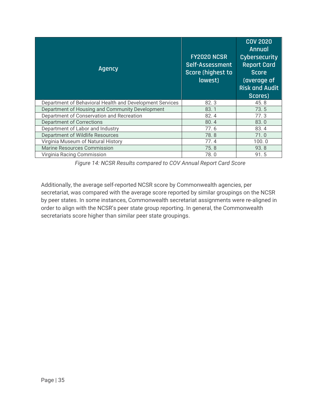| <b>Agency</b>                                            | <b>FY2020 NCSR</b><br>Self-Assessment<br><b>Score (highest to</b><br>lowest) | <b>COV 2020</b><br>Annual<br>Cybersecurity<br><b>Report Card</b><br><b>Score</b><br>(average of<br><b>Risk and Audit</b><br>Scores) |
|----------------------------------------------------------|------------------------------------------------------------------------------|-------------------------------------------------------------------------------------------------------------------------------------|
| Department of Behavioral Health and Development Services | 82.3                                                                         | 45.8                                                                                                                                |
| Department of Housing and Community Development          | 83.1                                                                         | 73.5                                                                                                                                |
| Department of Conservation and Recreation                | 82.4                                                                         | 77.3                                                                                                                                |
| <b>Department of Corrections</b>                         | 80.4                                                                         | 83.0                                                                                                                                |
| Department of Labor and Industry                         | 77.6                                                                         | 83.4                                                                                                                                |
| <b>Department of Wildlife Resources</b>                  | 78.8                                                                         | 71.0                                                                                                                                |
| Virginia Museum of Natural History                       | 77.4                                                                         | 100.0                                                                                                                               |
| <b>Marine Resources Commission</b>                       | 75.8                                                                         | 93.8                                                                                                                                |
| Virginia Racing Commission                               | 78.0                                                                         | 91.5                                                                                                                                |

*Figure 14: NCSR Results compared to COV Annual Report Card Score*

<span id="page-34-0"></span>Additionally, the average self-reported NCSR score by Commonwealth agencies, per secretariat, was compared with the average score reported by similar groupings on the NCSR by peer states. In some instances, Commonwealth secretariat assignments were re-aligned in order to align with the NCSR's peer state group reporting. In general, the Commonwealth secretariats score higher than similar peer state groupings.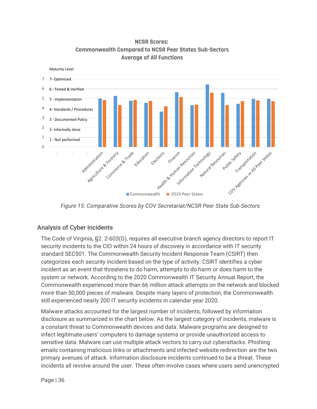

**NCSR Scores: Commonwealth Compared to NCSR Peer States Sub-Sectors Average of All Functions**

<span id="page-35-1"></span>*Figure 15: Comparative Scores by COV Secretariat/NCSR Peer State Sub-Sectors*

## <span id="page-35-0"></span>Analysis of Cyber Incidents

The Code of Virginia, §2. 2-603(G), requires all executive branch agency directors to report IT security incidents to the CIO within 24 hours of discovery in accordance with IT security standard SEC501. The Commonwealth Security Incident Response Team (CSIRT) then categorizes each security incident based on the type of activity. CSIRT identifies a cyber incident as an event that threatens to do harm, attempts to do harm or does harm to the system or network. According to the 2020 Commonwealth IT Security Annual Report, the Commonwealth experienced more than 66 million attack attempts on the network and blocked more than 50,000 pieces of malware. Despite many layers of protection, the Commonwealth still experienced nearly 200 IT security incidents in calendar year 2020.

Malware attacks accounted for the largest number of incidents, followed by information disclosure as summarized in the chart below. As the largest category of incidents, malware is a constant threat to Commonwealth devices and data. Malware programs are designed to infect legitimate users' computers to damage systems or provide unauthorized access to sensitive data. Malware can use multiple attack vectors to carry out cyberattacks. Phishing emails containing malicious links or attachments and infected website redirection are the two primary avenues of attack. Information disclosure incidents continued to be a threat. These incidents all revolve around the user. These often involve cases where users send unencrypted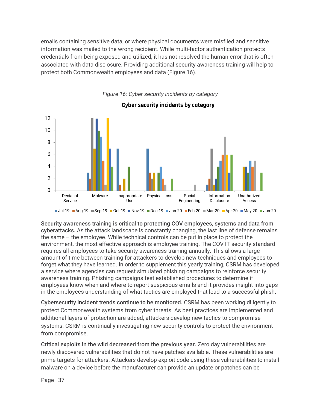emails containing sensitive data, or where physical documents were misfiled and sensitive information was mailed to the wrong recipient. While multi-factor authentication protects credentials from being exposed and utilized, it has not resolved the human error that is often associated with data disclosure. Providing additional security awareness training will help to protect both Commonwealth employees and data (Figure 16).

<span id="page-36-0"></span>

*Figure 16: Cyber security incidents by category*

**Cyber security incidents by category**

 $Jul-19$  Aug-19 Sep-19 Oct-19 Nov-19 Dec-19 Jan-20 Feb-20 Mar-20 Apr-20 May-20 Jun-20

Security awareness training is critical to protecting COV employees, systems and data from cyberattacks. As the attack landscape is constantly changing, the last line of defense remains the same – the employee. While technical controls can be put in place to protect the environment, the most effective approach is employee training. The COV IT security standard requires all employees to take security awareness training annually. This allows a large amount of time between training for attackers to develop new techniques and employees to forget what they have learned. In order to supplement this yearly training, CSRM has developed a service where agencies can request simulated phishing campaigns to reinforce security awareness training. Phishing campaigns test established procedures to determine if employees know when and where to report suspicious emails and it provides insight into gaps in the employees understanding of what tactics are employed that lead to a successful phish.

Cybersecurity incident trends continue to be monitored. CSRM has been working diligently to protect Commonwealth systems from cyber threats. As best practices are implemented and additional layers of protection are added, attackers develop new tactics to compromise systems. CSRM is continually investigating new security controls to protect the environment from compromise.

Critical exploits in the wild decreased from the previous year. Zero day vulnerabilities are newly discovered vulnerabilities that do not have patches available. These vulnerabilities are prime targets for attackers. Attackers develop exploit code using these vulnerabilities to install malware on a device before the manufacturer can provide an update or patches can be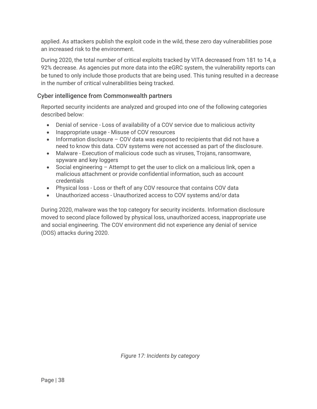applied. As attackers publish the exploit code in the wild, these zero day vulnerabilities pose an increased risk to the environment.

During 2020, the total number of critical exploits tracked by VITA decreased from 181 to 14, a 92% decrease. As agencies put more data into the eGRC system, the vulnerability reports can be tuned to only include those products that are being used. This tuning resulted in a decrease in the number of critical vulnerabilities being tracked.

## <span id="page-37-0"></span>Cyber intelligence from Commonwealth partners

Reported security incidents are analyzed and grouped into one of the following categories described below:

- Denial of service Loss of availability of a COV service due to malicious activity
- Inappropriate usage Misuse of COV resources
- $\bullet$  Information disclosure COV data was exposed to recipients that did not have a need to know this data. COV systems were not accessed as part of the disclosure.
- Malware Execution of malicious code such as viruses, Trojans, ransomware, spyware and key loggers
- Social engineering Attempt to get the user to click on a malicious link, open a malicious attachment or provide confidential information, such as account credentials
- Physical loss Loss or theft of any COV resource that contains COV data
- Unauthorized access Unauthorized access to COV systems and/or data

<span id="page-37-1"></span>During 2020, malware was the top category for security incidents. Information disclosure moved to second place followed by physical loss, unauthorized access, inappropriate use and social engineering. The COV environment did not experience any denial of service (DOS) attacks during 2020.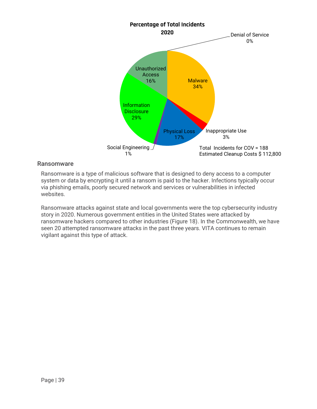

#### <span id="page-38-0"></span>Ransomware

Ransomware is a type of malicious software that is designed to deny access to a computer system or data by encrypting it until a ransom is paid to the hacker. Infections typically occur via phishing emails, poorly secured network and services or vulnerabilities in infected websites.

Ransomware attacks against state and local governments were the top cybersecurity industry story in 2020. Numerous government entities in the United States were attacked by ransomware hackers compared to other industries (Figure 18). In the Commonwealth, we have seen 20 attempted ransomware attacks in the past three years. VITA continues to remain vigilant against this type of attack.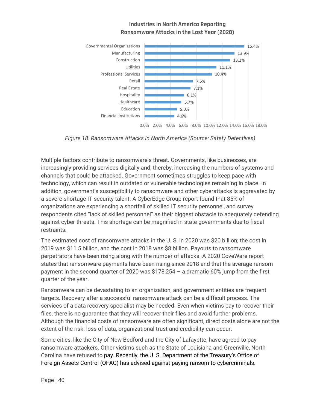

## **Industries in North America Reporting Ransomware Attacks in the Last Year (2020)**

*Figure 18: Ransomware Attacks in North America (Source: Safety Detectives)*

<span id="page-39-0"></span>Multiple factors contribute to ransomware's threat. Governments, like businesses, are increasingly providing services digitally and, thereby, increasing the numbers of systems and channels that could be attacked. Government sometimes struggles to keep pace with technology, which can result in outdated or vulnerable technologies remaining in place. In addition, government's susceptibility to ransomware and other cyberattacks is aggravated by a severe shortage IT security talent. A CyberEdge Group report found that 85% of organizations are experiencing a shortfall of skilled IT security personnel, and survey respondents cited "lack of skilled personnel" as their biggest obstacle to adequately defending against cyber threats. This shortage can be magnified in state governments due to fiscal restraints.

The estimated cost of ransomware attacks in the U. S. in 2020 was \$20 billion; the cost in 2019 was \$11.5 billion, and the cost in 2018 was \$8 billion. Payouts to ransomware perpetrators have been rising along with the number of attacks. A 2020 CoveWare report states that ransomware payments have been rising since 2018 and that the average ransom payment in the second quarter of 2020 was \$178,254 – a dramatic 60% jump from the first quarter of the year.

Ransomware can be devastating to an organization, and government entities are frequent targets. Recovery after a successful ransomware attack can be a difficult process. The services of a data recovery specialist may be needed. Even when victims pay to recover their files, there is no guarantee that they will recover their files and avoid further problems. Although the financial costs of ransomware are often significant, direct costs alone are not the extent of the risk: loss of data, organizational trust and credibility can occur.

Some cities, like the City of New Bedford and the City of Lafayette, have agreed to pay ransomware attackers. Other victims such as the State of Louisiana and Greenville, North Carolina have refused to pay. Recently, the U. S. Department of the Treasury's Office of Foreign Assets Control (OFAC) has advised against paying ransom to cybercriminals.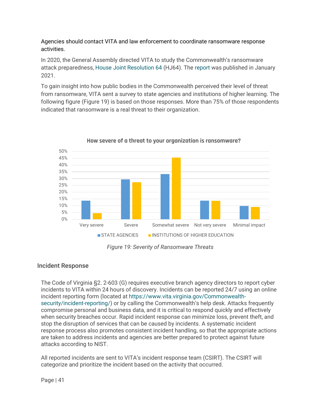## Agencies should contact VITA and law enforcement to coordinate ransomware response activities.

In 2020, the General Assembly directed VITA to study the Commonwealth's ransomware attack preparedness, [House Joint Resolution 64](https://lis.virginia.gov/cgi-bin/legp604.exe?201+ful+HJ64ER) (HJ64). The [report](https://www.vita.virginia.gov/media/vitavirginiagov/resources/pdf/Ransomware-Study-Report.pdf) was published in January 2021.

To gain insight into how public bodies in the Commonwealth perceived their level of threat from ransomware, VITA sent a survey to state agencies and institutions of higher learning. The following figure (Figure 19) is based on those responses. More than 75% of those respondents indicated that ransomware is a real threat to their organization.



**How severe of a threat to your organization is ransomware?**

*Figure 19: Severity of Ransomware Threats*

## <span id="page-40-1"></span><span id="page-40-0"></span>Incident Response

The Code of Virginia §2. 2-603 (G) requires executive branch agency directors to report cyber incidents to VITA within 24 hours of discovery. Incidents can be reported 24/7 using an online incident reporting form (located at [https://www.vita.virginia.gov/Commonwealth](https://www.vita.virginia.gov/Commonwealth-security/incident-reporting/)[security/incident-reporting/\)](https://www.vita.virginia.gov/Commonwealth-security/incident-reporting/) or by calling the Commonwealth's help desk. Attacks frequently compromise personal and business data, and it is critical to respond quickly and effectively when security breaches occur. Rapid incident response can minimize loss, prevent theft, and stop the disruption of services that can be caused by incidents. A systematic incident response process also promotes consistent incident handling, so that the appropriate actions are taken to address incidents and agencies are better prepared to protect against future attacks according to NIST.

All reported incidents are sent to VITA's incident response team (CSIRT). The CSIRT will categorize and prioritize the incident based on the activity that occurred.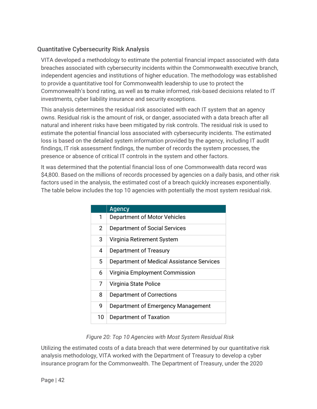## <span id="page-41-0"></span>Quantitative Cybersecurity Risk Analysis

VITA developed a methodology to estimate the potential financial impact associated with data breaches associated with cybersecurity incidents within the Commonwealth executive branch, independent agencies and institutions of higher education. The methodology was established to provide a quantitative tool for Commonwealth leadership to use to protect the Commonwealth's bond rating, as well as to make informed, risk-based decisions related to IT investments, cyber liability insurance and security exceptions.

This analysis determines the residual risk associated with each IT system that an agency owns. Residual risk is the amount of risk, or danger, associated with a data breach after all natural and inherent risks have been mitigated by risk controls. The residual risk is used to estimate the potential financial loss associated with cybersecurity incidents. The estimated loss is based on the detailed system information provided by the agency, including IT audit findings, IT risk assessment findings, the number of records the system processes, the presence or absence of critical IT controls in the system and other factors.

It was determined that the potential financial loss of one Commonwealth data record was \$4,800. Based on the millions of records processed by agencies on a daily basis, and other risk factors used in the analysis, the estimated cost of a breach quickly increases exponentially. The table below includes the top 10 agencies with potentially the most system residual risk.

|    | <b>Agency</b>                             |
|----|-------------------------------------------|
| 1  | Department of Motor Vehicles              |
| 2  | Department of Social Services             |
| 3  | Virginia Retirement System                |
| 4  | Department of Treasury                    |
| 5  | Department of Medical Assistance Services |
| 6  | Virginia Employment Commission            |
| 7  | Virginia State Police                     |
| 8  | Department of Corrections                 |
| 9  | Department of Emergency Management        |
| 10 | <b>Department of Taxation</b>             |

#### *Figure 20: Top 10 Agencies with Most System Residual Risk*

<span id="page-41-1"></span>Utilizing the estimated costs of a data breach that were determined by our quantitative risk analysis methodology, VITA worked with the Department of Treasury to develop a cyber insurance program for the Commonwealth. The Department of Treasury, under the 2020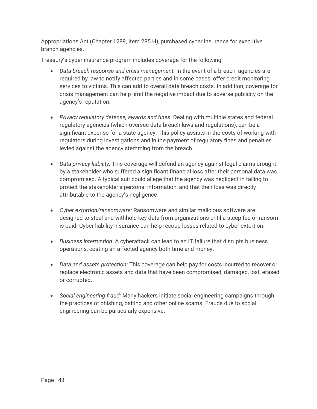Appropriations Act (Chapter 1289, Item 285 H), purchased cyber insurance for executive branch agencies.

Treasury's cyber insurance program includes coverage for the following:

- *Data breach response and crisis management:* In the event of a breach, agencies are required by law to notify affected parties and in some cases, offer credit monitoring services to victims. This can add to overall data breach costs. In addition, coverage for crisis management can help limit the negative impact due to adverse publicity on the agency's reputation.
- *Privacy regulatory defense, awards and fines:* Dealing with multiple states and federal regulatory agencies (which oversee data breach laws and regulations), can be a significant expense for a state agency. This policy assists in the costs of working with regulators during investigations and in the payment of regulatory fines and penalties levied against the agency stemming from the breach.
- *Data privacy liability:* This coverage will defend an agency against legal claims brought by a stakeholder who suffered a significant financial loss after their personal data was compromised. A typical suit could allege that the agency was negligent in failing to protect the stakeholder's personal information, and that their loss was directly attributable to the agency's negligence.
- *Cyber extortion/ransomware:* Ransomware and similar malicious software are designed to steal and withhold key data from organizations until a steep fee or ransom is paid. Cyber liability insurance can help recoup losses related to cyber extortion.
- *Business interruption:* A cyberattack can lead to an IT failure that disrupts business operations, costing an affected agency both time and money.
- *Data and assets protection:* This coverage can help pay for costs incurred to recover or replace electronic assets and data that have been compromised, damaged, lost, erased or corrupted.
- *Social engineering fraud:* Many hackers initiate social engineering campaigns through the practices of phishing, baiting and other online scams. Frauds due to social engineering can be particularly expensive.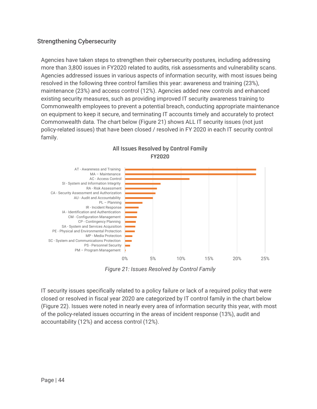## <span id="page-43-0"></span>Strengthening Cybersecurity

Agencies have taken steps to strengthen their cybersecurity postures, including addressing more than 3,800 issues in FY2020 related to audits, risk assessments and vulnerability scans. Agencies addressed issues in various aspects of information security, with most issues being resolved in the following three control families this year: awareness and training (23%), maintenance (23%) and access control (12%). Agencies added new controls and enhanced existing security measures, such as providing improved IT security awareness training to Commonwealth employees to prevent a potential breach, conducting appropriate maintenance on equipment to keep it secure, and terminating IT accounts timely and accurately to protect Commonwealth data. The chart below (Figure 21) shows ALL IT security issues (not just policy-related issues) that have been closed / resolved in FY 2020 in each IT security control family.



## **All Issues Resolved by Control Family FY2020**

*Figure 21: Issues Resolved by Control Family*

<span id="page-43-1"></span>IT security issues specifically related to a policy failure or lack of a required policy that were closed or resolved in fiscal year 2020 are categorized by IT control family in the chart below (Figure 22). Issues were noted in nearly every area of information security this year, with most of the policy-related issues occurring in the areas of incident response (13%), audit and accountability (12%) and access control (12%).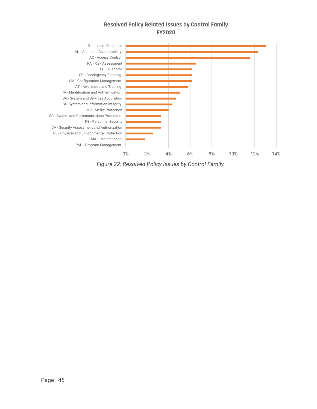## **Resolved Policy Related Issues by Control Family FY2020**



<span id="page-44-0"></span>*Figure 22: Resolved Policy Issues by Control Family*